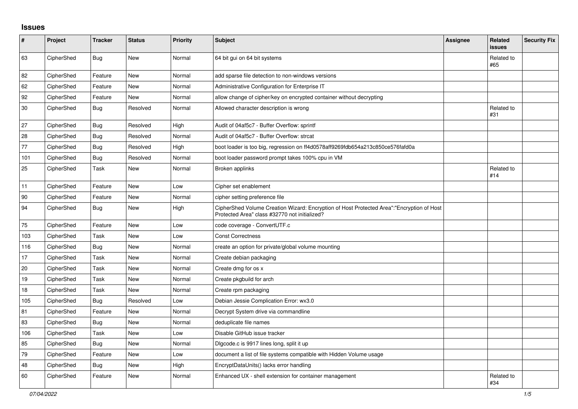## **Issues**

| $\sharp$ | Project    | <b>Tracker</b> | <b>Status</b> | <b>Priority</b> | <b>Subject</b>                                                                                                                             | Assignee | Related<br><b>issues</b> | <b>Security Fix</b> |
|----------|------------|----------------|---------------|-----------------|--------------------------------------------------------------------------------------------------------------------------------------------|----------|--------------------------|---------------------|
| 63       | CipherShed | <b>Bug</b>     | New           | Normal          | 64 bit gui on 64 bit systems                                                                                                               |          | Related to<br>#65        |                     |
| 82       | CipherShed | Feature        | <b>New</b>    | Normal          | add sparse file detection to non-windows versions                                                                                          |          |                          |                     |
| 62       | CipherShed | Feature        | New           | Normal          | Administrative Configuration for Enterprise IT                                                                                             |          |                          |                     |
| 92       | CipherShed | Feature        | New           | Normal          | allow change of cipher/key on encrypted container without decrypting                                                                       |          |                          |                     |
| 30       | CipherShed | <b>Bug</b>     | Resolved      | Normal          | Allowed character description is wrong                                                                                                     |          | Related to<br>#31        |                     |
| 27       | CipherShed | Bug            | Resolved      | High            | Audit of 04af5c7 - Buffer Overflow: sprintf                                                                                                |          |                          |                     |
| 28       | CipherShed | <b>Bug</b>     | Resolved      | Normal          | Audit of 04af5c7 - Buffer Overflow: strcat                                                                                                 |          |                          |                     |
| 77       | CipherShed | Bug            | Resolved      | High            | boot loader is too big, regression on ff4d0578aff9269fdb654a213c850ce576fafd0a                                                             |          |                          |                     |
| 101      | CipherShed | <b>Bug</b>     | Resolved      | Normal          | boot loader password prompt takes 100% cpu in VM                                                                                           |          |                          |                     |
| 25       | CipherShed | Task           | New           | Normal          | Broken applinks                                                                                                                            |          | Related to<br>#14        |                     |
| 11       | CipherShed | Feature        | <b>New</b>    | Low             | Cipher set enablement                                                                                                                      |          |                          |                     |
| 90       | CipherShed | Feature        | New           | Normal          | cipher setting preference file                                                                                                             |          |                          |                     |
| 94       | CipherShed | <b>Bug</b>     | New           | High            | CipherShed Volume Creation Wizard: Encryption of Host Protected Area":"Encryption of Host<br>Protected Area" class #32770 not initialized? |          |                          |                     |
| 75       | CipherShed | Feature        | New           | Low             | code coverage - ConvertUTF.c                                                                                                               |          |                          |                     |
| 103      | CipherShed | Task           | New           | Low             | <b>Const Correctness</b>                                                                                                                   |          |                          |                     |
| 116      | CipherShed | <b>Bug</b>     | New           | Normal          | create an option for private/global volume mounting                                                                                        |          |                          |                     |
| 17       | CipherShed | Task           | New           | Normal          | Create debian packaging                                                                                                                    |          |                          |                     |
| 20       | CipherShed | Task           | New           | Normal          | Create dmg for os x                                                                                                                        |          |                          |                     |
| 19       | CipherShed | Task           | <b>New</b>    | Normal          | Create pkgbuild for arch                                                                                                                   |          |                          |                     |
| 18       | CipherShed | Task           | <b>New</b>    | Normal          | Create rpm packaging                                                                                                                       |          |                          |                     |
| 105      | CipherShed | <b>Bug</b>     | Resolved      | Low             | Debian Jessie Complication Error: wx3.0                                                                                                    |          |                          |                     |
| 81       | CipherShed | Feature        | New           | Normal          | Decrypt System drive via commandline                                                                                                       |          |                          |                     |
| 83       | CipherShed | Bug            | New           | Normal          | deduplicate file names                                                                                                                     |          |                          |                     |
| 106      | CipherShed | Task           | <b>New</b>    | Low             | Disable GitHub issue tracker                                                                                                               |          |                          |                     |
| 85       | CipherShed | <b>Bug</b>     | <b>New</b>    | Normal          | Digcode.c is 9917 lines long, split it up                                                                                                  |          |                          |                     |
| 79       | CipherShed | Feature        | New           | Low             | document a list of file systems compatible with Hidden Volume usage                                                                        |          |                          |                     |
| 48       | CipherShed | Bug            | New           | High            | EncryptDataUnits() lacks error handling                                                                                                    |          |                          |                     |
| 60       | CipherShed | Feature        | New           | Normal          | Enhanced UX - shell extension for container management                                                                                     |          | Related to<br>#34        |                     |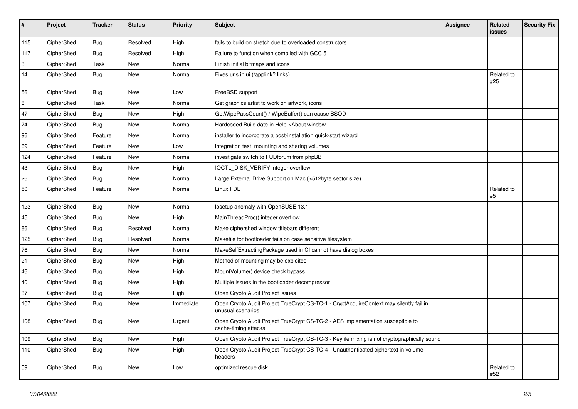| $\vert$ #                 | Project    | <b>Tracker</b> | <b>Status</b> | <b>Priority</b> | <b>Subject</b>                                                                                              | <b>Assignee</b> | <b>Related</b><br><b>issues</b> | <b>Security Fix</b> |
|---------------------------|------------|----------------|---------------|-----------------|-------------------------------------------------------------------------------------------------------------|-----------------|---------------------------------|---------------------|
| 115                       | CipherShed | Bug            | Resolved      | High            | fails to build on stretch due to overloaded constructors                                                    |                 |                                 |                     |
| 117                       | CipherShed | Bug            | Resolved      | High            | Failure to function when compiled with GCC 5                                                                |                 |                                 |                     |
| $\ensuremath{\mathsf{3}}$ | CipherShed | Task           | <b>New</b>    | Normal          | Finish initial bitmaps and icons                                                                            |                 |                                 |                     |
| 14                        | CipherShed | Bug            | <b>New</b>    | Normal          | Fixes urls in ui (/applink? links)                                                                          |                 | Related to<br>#25               |                     |
| 56                        | CipherShed | <b>Bug</b>     | New           | Low             | FreeBSD support                                                                                             |                 |                                 |                     |
| 8                         | CipherShed | Task           | <b>New</b>    | Normal          | Get graphics artist to work on artwork, icons                                                               |                 |                                 |                     |
| 47                        | CipherShed | <b>Bug</b>     | <b>New</b>    | High            | GetWipePassCount() / WipeBuffer() can cause BSOD                                                            |                 |                                 |                     |
| 74                        | CipherShed | <b>Bug</b>     | <b>New</b>    | Normal          | Hardcoded Build date in Help->About window                                                                  |                 |                                 |                     |
| 96                        | CipherShed | Feature        | New           | Normal          | installer to incorporate a post-installation quick-start wizard                                             |                 |                                 |                     |
| 69                        | CipherShed | Feature        | New           | Low             | integration test: mounting and sharing volumes                                                              |                 |                                 |                     |
| 124                       | CipherShed | Feature        | <b>New</b>    | Normal          | investigate switch to FUDforum from phpBB                                                                   |                 |                                 |                     |
| 43                        | CipherShed | <b>Bug</b>     | <b>New</b>    | High            | IOCTL_DISK_VERIFY integer overflow                                                                          |                 |                                 |                     |
| 26                        | CipherShed | <b>Bug</b>     | <b>New</b>    | Normal          | Large External Drive Support on Mac (>512byte sector size)                                                  |                 |                                 |                     |
| 50                        | CipherShed | Feature        | New           | Normal          | Linux FDE                                                                                                   |                 | Related to<br>#5                |                     |
| 123                       | CipherShed | <b>Bug</b>     | <b>New</b>    | Normal          | losetup anomaly with OpenSUSE 13.1                                                                          |                 |                                 |                     |
| 45                        | CipherShed | <b>Bug</b>     | <b>New</b>    | High            | MainThreadProc() integer overflow                                                                           |                 |                                 |                     |
| 86                        | CipherShed | <b>Bug</b>     | Resolved      | Normal          | Make ciphershed window titlebars different                                                                  |                 |                                 |                     |
| 125                       | CipherShed | Bug            | Resolved      | Normal          | Makefile for bootloader fails on case sensitive filesystem                                                  |                 |                                 |                     |
| 76                        | CipherShed | <b>Bug</b>     | New           | Normal          | MakeSelfExtractingPackage used in CI cannot have dialog boxes                                               |                 |                                 |                     |
| 21                        | CipherShed | <b>Bug</b>     | <b>New</b>    | High            | Method of mounting may be exploited                                                                         |                 |                                 |                     |
| 46                        | CipherShed | <b>Bug</b>     | <b>New</b>    | High            | MountVolume() device check bypass                                                                           |                 |                                 |                     |
| 40                        | CipherShed | Bug            | New           | High            | Multiple issues in the bootloader decompressor                                                              |                 |                                 |                     |
| 37                        | CipherShed | Bug            | New           | High            | Open Crypto Audit Project issues                                                                            |                 |                                 |                     |
| 107                       | CipherShed | Bug            | New           | Immediate       | Open Crypto Audit Project TrueCrypt CS-TC-1 - CryptAcquireContext may silently fail in<br>unusual scenarios |                 |                                 |                     |
| 108                       | CipherShed | <b>Bug</b>     | <b>New</b>    | Urgent          | Open Crypto Audit Project TrueCrypt CS-TC-2 - AES implementation susceptible to<br>cache-timing attacks     |                 |                                 |                     |
| 109                       | CipherShed | <b>Bug</b>     | New           | High            | Open Crypto Audit Project TrueCrypt CS-TC-3 - Keyfile mixing is not cryptographically sound                 |                 |                                 |                     |
| 110                       | CipherShed | <b>Bug</b>     | New           | High            | Open Crypto Audit Project TrueCrypt CS-TC-4 - Unauthenticated ciphertext in volume<br>headers               |                 |                                 |                     |
| 59                        | CipherShed | <b>Bug</b>     | <b>New</b>    | Low             | optimized rescue disk                                                                                       |                 | Related to<br>#52               |                     |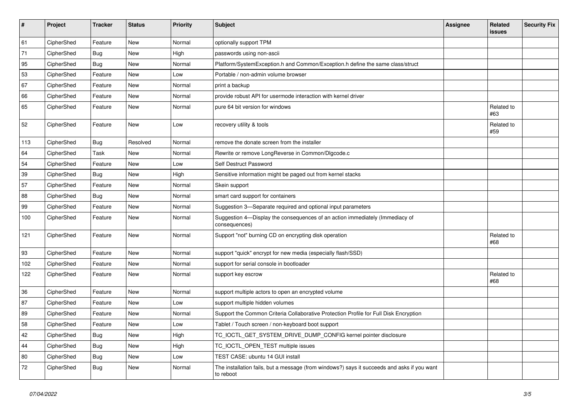| #   | Project    | <b>Tracker</b> | <b>Status</b> | Priority | <b>Subject</b>                                                                                           | <b>Assignee</b> | <b>Related</b><br>issues | <b>Security Fix</b> |
|-----|------------|----------------|---------------|----------|----------------------------------------------------------------------------------------------------------|-----------------|--------------------------|---------------------|
| 61  | CipherShed | Feature        | New           | Normal   | optionally support TPM                                                                                   |                 |                          |                     |
| 71  | CipherShed | Bug            | New           | High     | passwords using non-ascii                                                                                |                 |                          |                     |
| 95  | CipherShed | <b>Bug</b>     | New           | Normal   | Platform/SystemException.h and Common/Exception.h define the same class/struct                           |                 |                          |                     |
| 53  | CipherShed | Feature        | New           | Low      | Portable / non-admin volume browser                                                                      |                 |                          |                     |
| 67  | CipherShed | Feature        | New           | Normal   | print a backup                                                                                           |                 |                          |                     |
| 66  | CipherShed | Feature        | New           | Normal   | provide robust API for usermode interaction with kernel driver                                           |                 |                          |                     |
| 65  | CipherShed | Feature        | New           | Normal   | pure 64 bit version for windows                                                                          |                 | Related to<br>#63        |                     |
| 52  | CipherShed | Feature        | New           | Low      | recovery utility & tools                                                                                 |                 | Related to<br>#59        |                     |
| 113 | CipherShed | <b>Bug</b>     | Resolved      | Normal   | remove the donate screen from the installer                                                              |                 |                          |                     |
| 64  | CipherShed | Task           | New           | Normal   | Rewrite or remove LongReverse in Common/Dlgcode.c                                                        |                 |                          |                     |
| 54  | CipherShed | Feature        | New           | Low      | Self Destruct Password                                                                                   |                 |                          |                     |
| 39  | CipherShed | <b>Bug</b>     | New           | High     | Sensitive information might be paged out from kernel stacks                                              |                 |                          |                     |
| 57  | CipherShed | Feature        | New           | Normal   | Skein support                                                                                            |                 |                          |                     |
| 88  | CipherShed | Bug            | New           | Normal   | smart card support for containers                                                                        |                 |                          |                     |
| 99  | CipherShed | Feature        | New           | Normal   | Suggestion 3-Separate required and optional input parameters                                             |                 |                          |                     |
| 100 | CipherShed | Feature        | New           | Normal   | Suggestion 4-Display the consequences of an action immediately (Immediacy of<br>consequences)            |                 |                          |                     |
| 121 | CipherShed | Feature        | New           | Normal   | Support "not" burning CD on encrypting disk operation                                                    |                 | Related to<br>#68        |                     |
| 93  | CipherShed | Feature        | New           | Normal   | support "quick" encrypt for new media (especially flash/SSD)                                             |                 |                          |                     |
| 102 | CipherShed | Feature        | New           | Normal   | support for serial console in bootloader                                                                 |                 |                          |                     |
| 122 | CipherShed | Feature        | New           | Normal   | support key escrow                                                                                       |                 | Related to<br>#68        |                     |
| 36  | CipherShed | Feature        | New           | Normal   | support multiple actors to open an encrypted volume                                                      |                 |                          |                     |
| 87  | CipherShed | Feature        | New           | Low      | support multiple hidden volumes                                                                          |                 |                          |                     |
| 89  | CipherShed | Feature        | New           | Normal   | Support the Common Criteria Collaborative Protection Profile for Full Disk Encryption                    |                 |                          |                     |
| 58  | CipherShed | Feature        | New           | Low      | Tablet / Touch screen / non-keyboard boot support                                                        |                 |                          |                     |
| 42  | CipherShed | Bug            | New           | High     | TC_IOCTL_GET_SYSTEM_DRIVE_DUMP_CONFIG kernel pointer disclosure                                          |                 |                          |                     |
| 44  | CipherShed | <b>Bug</b>     | New           | High     | TC_IOCTL_OPEN_TEST multiple issues                                                                       |                 |                          |                     |
| 80  | CipherShed | <b>Bug</b>     | New           | Low      | TEST CASE: ubuntu 14 GUI install                                                                         |                 |                          |                     |
| 72  | CipherShed | <b>Bug</b>     | New           | Normal   | The installation fails, but a message (from windows?) says it succeeds and asks if you want<br>to reboot |                 |                          |                     |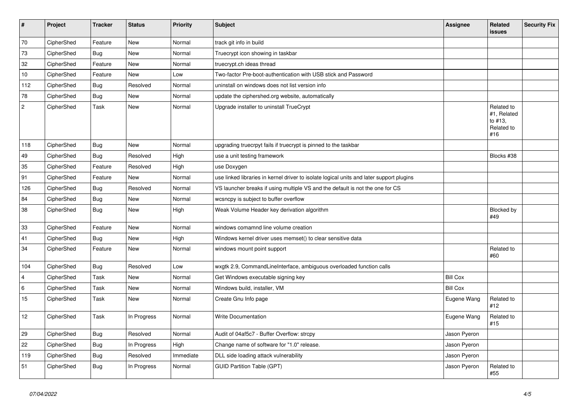| $\vert$ #      | Project    | <b>Tracker</b> | <b>Status</b> | Priority  | <b>Subject</b>                                                                           | <b>Assignee</b> | <b>Related</b><br><b>issues</b>                           | <b>Security Fix</b> |
|----------------|------------|----------------|---------------|-----------|------------------------------------------------------------------------------------------|-----------------|-----------------------------------------------------------|---------------------|
| 70             | CipherShed | Feature        | <b>New</b>    | Normal    | track git info in build                                                                  |                 |                                                           |                     |
| 73             | CipherShed | <b>Bug</b>     | New           | Normal    | Truecrypt icon showing in taskbar                                                        |                 |                                                           |                     |
| 32             | CipherShed | Feature        | New           | Normal    | truecrypt.ch ideas thread                                                                |                 |                                                           |                     |
| 10             | CipherShed | Feature        | <b>New</b>    | Low       | Two-factor Pre-boot-authentication with USB stick and Password                           |                 |                                                           |                     |
| 112            | CipherShed | <b>Bug</b>     | Resolved      | Normal    | uninstall on windows does not list version info                                          |                 |                                                           |                     |
| 78             | CipherShed | <b>Bug</b>     | New           | Normal    | update the ciphershed.org website, automatically                                         |                 |                                                           |                     |
| $\overline{c}$ | CipherShed | Task           | <b>New</b>    | Normal    | Upgrade installer to uninstall TrueCrypt                                                 |                 | Related to<br>#1, Related<br>to #13.<br>Related to<br>#16 |                     |
| 118            | CipherShed | <b>Bug</b>     | New           | Normal    | upgrading truecrpyt fails if truecrypt is pinned to the taskbar                          |                 |                                                           |                     |
| 49             | CipherShed | <b>Bug</b>     | Resolved      | High      | use a unit testing framework                                                             |                 | Blocks #38                                                |                     |
| 35             | CipherShed | Feature        | Resolved      | High      | use Doxygen                                                                              |                 |                                                           |                     |
| 91             | CipherShed | Feature        | <b>New</b>    | Normal    | use linked libraries in kernel driver to isolate logical units and later support plugins |                 |                                                           |                     |
| 126            | CipherShed | <b>Bug</b>     | Resolved      | Normal    | VS launcher breaks if using multiple VS and the default is not the one for CS            |                 |                                                           |                     |
| 84             | CipherShed | <b>Bug</b>     | <b>New</b>    | Normal    | wcsncpy is subject to buffer overflow                                                    |                 |                                                           |                     |
| 38             | CipherShed | Bug            | <b>New</b>    | High      | Weak Volume Header key derivation algorithm                                              |                 | <b>Blocked by</b><br>#49                                  |                     |
| 33             | CipherShed | Feature        | New           | Normal    | windows comamnd line volume creation                                                     |                 |                                                           |                     |
| 41             | CipherShed | <b>Bug</b>     | New           | High      | Windows kernel driver uses memset() to clear sensitive data                              |                 |                                                           |                     |
| 34             | CipherShed | Feature        | New           | Normal    | windows mount point support                                                              |                 | Related to<br>#60                                         |                     |
| 104            | CipherShed | <b>Bug</b>     | Resolved      | Low       | wxgtk 2.9, CommandLineInterface, ambiguous overloaded function calls                     |                 |                                                           |                     |
| $\overline{4}$ | CipherShed | Task           | <b>New</b>    | Normal    | Get Windows executable signing key                                                       | <b>Bill Cox</b> |                                                           |                     |
| 6              | CipherShed | Task           | New           | Normal    | Windows build, installer, VM                                                             | <b>Bill Cox</b> |                                                           |                     |
| 15             | CipherShed | Task           | <b>New</b>    | Normal    | Create Gnu Info page                                                                     | Eugene Wang     | Related to<br>#12                                         |                     |
| 12             | CipherShed | Task           | In Progress   | Normal    | <b>Write Documentation</b>                                                               | Eugene Wang     | Related to<br>#15                                         |                     |
| 29             | CipherShed | <b>Bug</b>     | Resolved      | Normal    | Audit of 04af5c7 - Buffer Overflow: strcpy                                               | Jason Pyeron    |                                                           |                     |
| 22             | CipherShed | <b>Bug</b>     | In Progress   | High      | Change name of software for "1.0" release.                                               | Jason Pyeron    |                                                           |                     |
| 119            | CipherShed | Bug            | Resolved      | Immediate | DLL side loading attack vulnerability                                                    | Jason Pyeron    |                                                           |                     |
| 51             | CipherShed | <b>Bug</b>     | In Progress   | Normal    | <b>GUID Partition Table (GPT)</b>                                                        | Jason Pyeron    | Related to<br>#55                                         |                     |